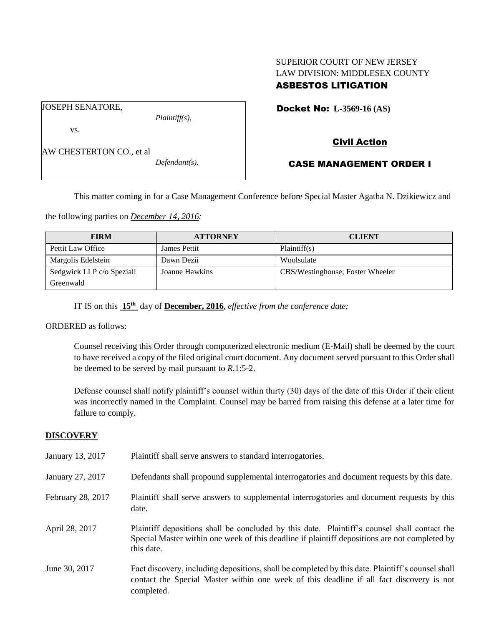# SUPERIOR COURT OF NEW JERSEY LAW DIVISION: MIDDLESEX COUNTY ASBESTOS LITIGATION

JOSEPH SENATORE,

*Plaintiff(s),*

Docket No: **L-3569-16 (AS)** 

vs.

AW CHESTERTON CO., et al

*Defendant(s).*

Civil Action

# CASE MANAGEMENT ORDER I

This matter coming in for a Case Management Conference before Special Master Agatha N. Dzikiewicz and

the following parties on *December 14, 2016:*

| <b>FIRM</b>               | <b>ATTORNEY</b>     | <b>CLIENT</b>                    |
|---------------------------|---------------------|----------------------------------|
| Pettit Law Office         | <b>James Pettit</b> | Plaintiff(s)                     |
| Margolis Edelstein        | Dawn Dezii          | Woolsulate                       |
| Sedgwick LLP c/o Speziali | Joanne Hawkins      | CBS/Westinghouse; Foster Wheeler |
| Greenwald                 |                     |                                  |

IT IS on this **15th** day of **December, 2016**, *effective from the conference date;*

ORDERED as follows:

Counsel receiving this Order through computerized electronic medium (E-Mail) shall be deemed by the court to have received a copy of the filed original court document. Any document served pursuant to this Order shall be deemed to be served by mail pursuant to *R*.1:5-2.

Defense counsel shall notify plaintiff's counsel within thirty (30) days of the date of this Order if their client was incorrectly named in the Complaint. Counsel may be barred from raising this defense at a later time for failure to comply.

# **DISCOVERY**

| January 13, 2017  | Plaintiff shall serve answers to standard interrogatories.                                                                                                                                                  |
|-------------------|-------------------------------------------------------------------------------------------------------------------------------------------------------------------------------------------------------------|
| January 27, 2017  | Defendants shall propound supplemental interrogatories and document requests by this date.                                                                                                                  |
| February 28, 2017 | Plaintiff shall serve answers to supplemental interrogatories and document requests by this<br>date.                                                                                                        |
| April 28, 2017    | Plaintiff depositions shall be concluded by this date. Plaintiff's counsel shall contact the<br>Special Master within one week of this deadline if plaintiff depositions are not completed by<br>this date. |
| June 30, 2017     | Fact discovery, including depositions, shall be completed by this date. Plaintiff's counsel shall<br>contact the Special Master within one week of this deadline if all fact discovery is not<br>completed. |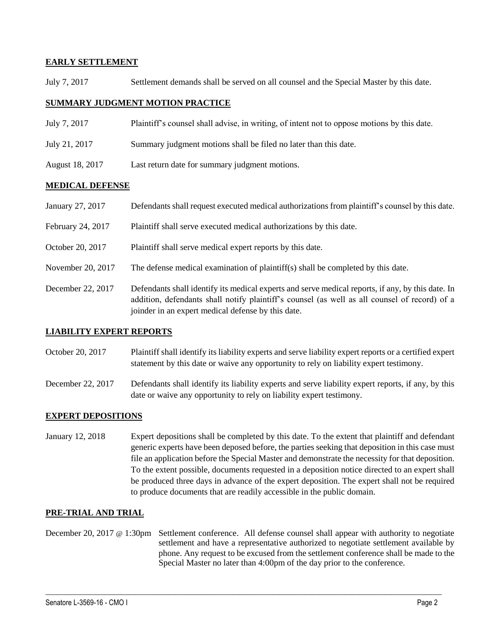# **EARLY SETTLEMENT**

July 7, 2017 Settlement demands shall be served on all counsel and the Special Master by this date.

#### **SUMMARY JUDGMENT MOTION PRACTICE**

- July 7, 2017 Plaintiff's counsel shall advise, in writing, of intent not to oppose motions by this date.
- July 21, 2017 Summary judgment motions shall be filed no later than this date.
- August 18, 2017 Last return date for summary judgment motions.

#### **MEDICAL DEFENSE**

| January 27, 2017  | Defendants shall request executed medical authorizations from plaintiff's counsel by this date.                                                                                                    |
|-------------------|----------------------------------------------------------------------------------------------------------------------------------------------------------------------------------------------------|
| February 24, 2017 | Plaintiff shall serve executed medical authorizations by this date.                                                                                                                                |
| October 20, 2017  | Plaintiff shall serve medical expert reports by this date.                                                                                                                                         |
| November 20, 2017 | The defense medical examination of plaintiff(s) shall be completed by this date.                                                                                                                   |
| December 22, 2017 | Defendants shall identify its medical experts and serve medical reports, if any, by this date. In<br>addition, defendants shall notify plaintiff's counsel (as well as all counsel of record) of a |

#### **LIABILITY EXPERT REPORTS**

October 20, 2017 Plaintiff shall identify its liability experts and serve liability expert reports or a certified expert statement by this date or waive any opportunity to rely on liability expert testimony.

joinder in an expert medical defense by this date.

December 22, 2017 Defendants shall identify its liability experts and serve liability expert reports, if any, by this date or waive any opportunity to rely on liability expert testimony.

# **EXPERT DEPOSITIONS**

January 12, 2018 Expert depositions shall be completed by this date. To the extent that plaintiff and defendant generic experts have been deposed before, the parties seeking that deposition in this case must file an application before the Special Master and demonstrate the necessity for that deposition. To the extent possible, documents requested in a deposition notice directed to an expert shall be produced three days in advance of the expert deposition. The expert shall not be required to produce documents that are readily accessible in the public domain.

# **PRE-TRIAL AND TRIAL**

December 20, 2017 @ 1:30pm Settlement conference. All defense counsel shall appear with authority to negotiate settlement and have a representative authorized to negotiate settlement available by phone. Any request to be excused from the settlement conference shall be made to the Special Master no later than 4:00pm of the day prior to the conference.

 $\_$  ,  $\_$  ,  $\_$  ,  $\_$  ,  $\_$  ,  $\_$  ,  $\_$  ,  $\_$  ,  $\_$  ,  $\_$  ,  $\_$  ,  $\_$  ,  $\_$  ,  $\_$  ,  $\_$  ,  $\_$  ,  $\_$  ,  $\_$  ,  $\_$  ,  $\_$  ,  $\_$  ,  $\_$  ,  $\_$  ,  $\_$  ,  $\_$  ,  $\_$  ,  $\_$  ,  $\_$  ,  $\_$  ,  $\_$  ,  $\_$  ,  $\_$  ,  $\_$  ,  $\_$  ,  $\_$  ,  $\_$  ,  $\_$  ,